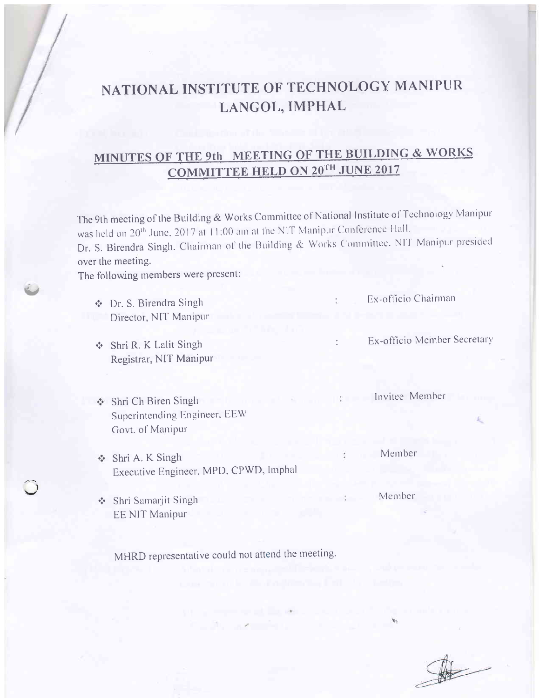# NATIONAL INSTITUTE OF TECHNOLOGY MANIPUR LANGOL, IMPHAL

## MINUTES OF THE 9th MEETING OF THE BUILDING & WORKS **COMMITTEE HELD ON 20TH JUNE 2017**

The 9th meeting of the Building & Works Committee of National Institute of Technology Manipur was held on 20<sup>th</sup> June, 2017 at 11:00 am at the NIT Manipur Conference Hall. Dr. S. Birendra Singh, Chairman of the Building & Works Committee. NIT Manipur presided over the meeting. The following members were present: Ex-officio Chairman ❖ Dr. S. Birendra Singh Director, NIT Manipur Ex-officio Member Secretary  $\epsilon$ Shri R. K Lalit Singh Registrar, NIT Manipur Invitee Member Shri Ch Biren Singh Superintending Engineer, EEW Govt. of Manipur Member Shri A. K Singh Executive Engineer, MPD, CPWD, Imphal

Member Shri Samarjit Singh **EE NIT Manipur** 

MHRD representative could not attend the meeting.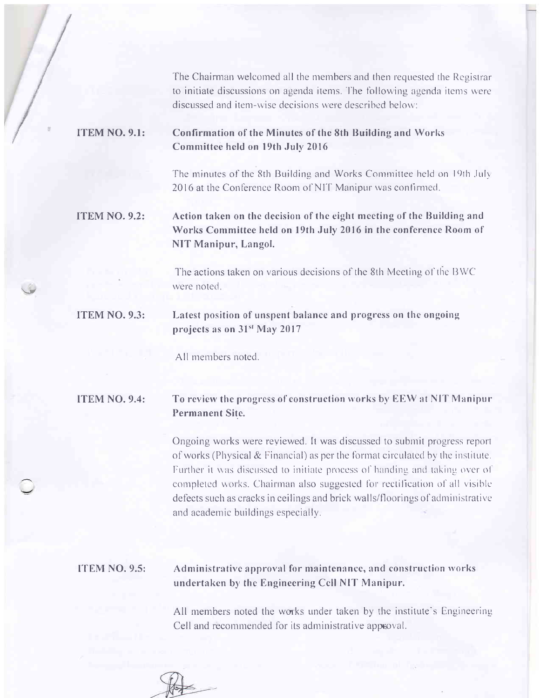The Chairman welcomed all the members and then requested the Registrar to initiate discussions on agenda items. The following agenda items were discussed and item-wise decisions were described below:

#### **ITEM NO. 9.1:** Confirmation of the Minutes of the 8th Building and Works Committee held on 19th July 2016

The minutes of the 8th Building and Works Committee held on 19th July 2016 at the Conference Room of NIT Manipur was confirmed.

#### **ITEM NO. 9.2:** Action taken on the decision of the eight meeting of the Building and Works Committee held on 19th July 2016 in the conference Room of NIT Manipur, Langol.

The actions taken on various decisions of the 8th Meeting of the BWC were noted.

#### **ITEM NO. 9.3:** Latest position of unspent balance and progress on the ongoing projects as on 31<sup>st</sup> May 2017

All members noted

### **ITEM NO. 9.4:**

## To review the progress of construction works by EEW at NIT Manipur **Permanent Site.**

Ongoing works were reviewed. It was discussed to submit progress report of works (Physical & Financial) as per the format circulated by the institute. Further it was discussed to initiate process of handing and taking over of completed works. Chairman also suggested for rectification of all visible defects such as cracks in ceilings and brick walls/floorings of administrative and academic buildings especially.

### **ITEM NO. 9.5:**

## Administrative approval for maintenance, and construction works undertaken by the Engineering Cell NIT Manipur.

All members noted the works under taken by the institute's Engineering Cell and recommended for its administrative approval.